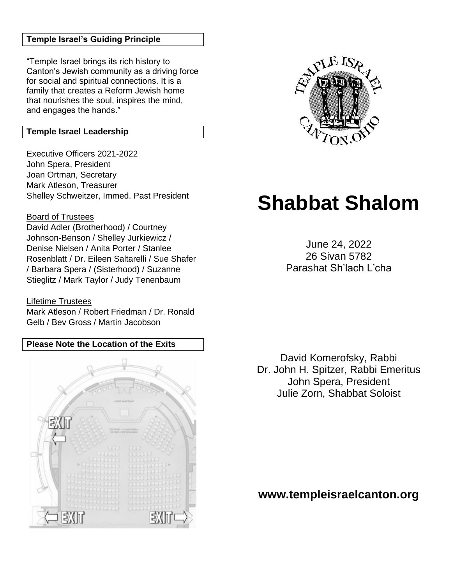## **Temple Israel's Guiding Principle**

"Temple Israel brings its rich history to Canton's Jewish community as a driving force for social and spiritual connections. It is a family that creates a Reform Jewish home that nourishes the soul, inspires the mind, and engages the hands."

## **Temple Israel Leadership**

Executive Officers 2021-2022 John Spera, President Joan Ortman, Secretary Mark Atleson, Treasurer Shelley Schweitzer, Immed. Past President

### Board of Trustees

David Adler (Brotherhood) / Courtney Johnson-Benson / Shelley Jurkiewicz / Denise Nielsen / Anita Porter / Stanlee Rosenblatt / Dr. Eileen Saltarelli / Sue Shafer / Barbara Spera / (Sisterhood) / Suzanne Stieglitz / Mark Taylor / Judy Tenenbaum

#### Lifetime Trustees

Mark Atleson / Robert Friedman / Dr. Ronald Gelb / Bev Gross / Martin Jacobson

# **Please Note the Location of the Exits**





# **Shabbat Shalom**

June 24, 2022 26 Sivan 5782 Parashat Sh'lach L'cha

David Komerofsky, Rabbi Dr. John H. Spitzer, Rabbi Emeritus John Spera, President Julie Zorn, Shabbat Soloist

**www.templeisraelcanton.org**